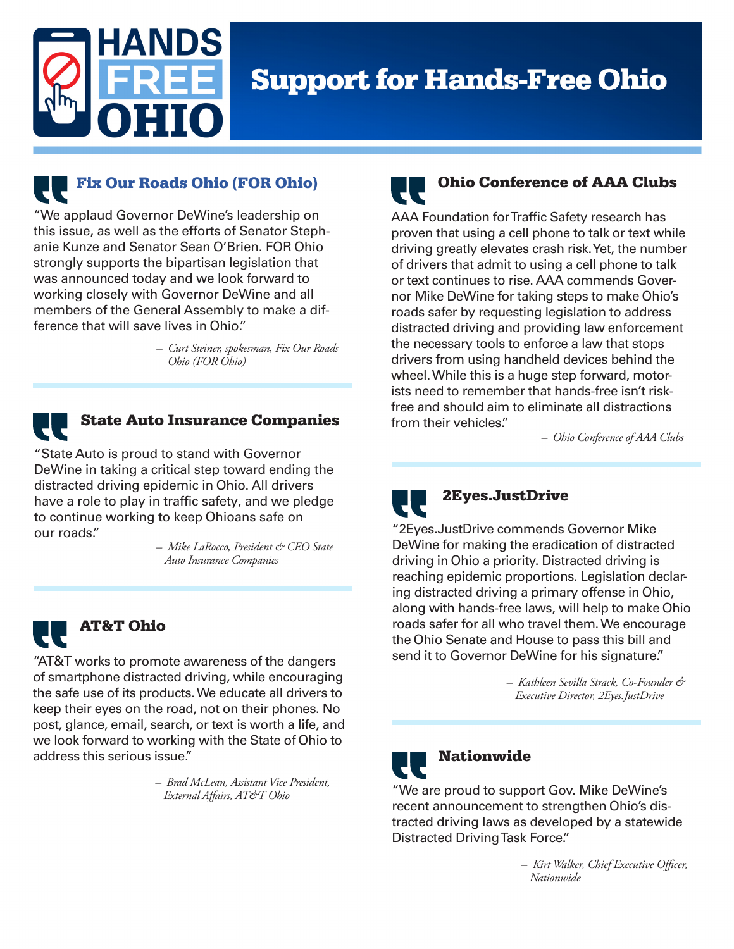

# **Support for Hands-Free Ohio**



"We applaud Governor DeWine's leadership on this issue, as well as the efforts of Senator Stephanie Kunze and Senator Sean O'Brien. FOR Ohio strongly supports the bipartisan legislation that was announced today and we look forward to working closely with Governor DeWine and all members of the General Assembly to make a difference that will save lives in Ohio."

> *– Curt Steiner, spokesman, Fix Our Roads Ohio (FOR Ohio)*



## State Auto Insurance Companies

"State Auto is proud to stand with Governor DeWine in taking a critical step toward ending the distracted driving epidemic in Ohio. All drivers have a role to play in traffic safety, and we pledge to continue working to keep Ohioans safe on our roads."

> *– Mike LaRocco, President & CEO State Auto Insurance Companies*



## AT&T Ohio

"AT&T works to promote awareness of the dangers of smartphone distracted driving, while encouraging the safe use of its products. We educate all drivers to keep their eyes on the road, not on their phones. No post, glance, email, search, or text is worth a life, and we look forward to working with the State of Ohio to address this serious issue."

> *– Brad McLean, Assistant Vice President, External Affairs, AT&T Ohio*

# Ohio Conference of AAA Clubs

AAA Foundation for Traffic Safety research has proven that using a cell phone to talk or text while driving greatly elevates crash risk. Yet, the number of drivers that admit to using a cell phone to talk or text continues to rise. AAA commends Governor Mike DeWine for taking steps to make Ohio's roads safer by requesting legislation to address distracted driving and providing law enforcement the necessary tools to enforce a law that stops drivers from using handheld devices behind the wheel. While this is a huge step forward, motorists need to remember that hands-free isn't riskfree and should aim to eliminate all distractions from their vehicles."

*– Ohio Conference of AAA Clubs*



### 2Eyes.JustDrive

"2Eyes.JustDrive commends Governor Mike DeWine for making the eradication of distracted driving in Ohio a priority. Distracted driving is reaching epidemic proportions. Legislation declaring distracted driving a primary offense in Ohio, along with hands-free laws, will help to make Ohio roads safer for all who travel them. We encourage the Ohio Senate and House to pass this bill and send it to Governor DeWine for his signature."

> *– Kathleen Sevilla Strack, Co-Founder & Executive Director, 2Eyes.JustDrive*



## Nationwide

"We are proud to support Gov. Mike DeWine's recent announcement to strengthen Ohio's distracted driving laws as developed by a statewide Distracted Driving Task Force."